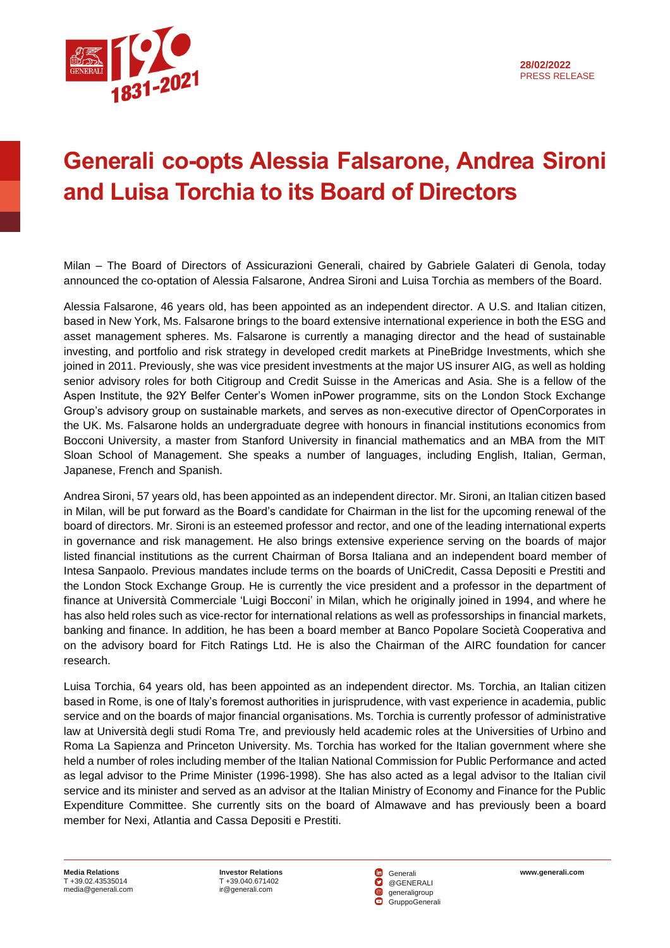

## **Generali co-opts Alessia Falsarone, Andrea Sironi and Luisa Torchia to its Board of Directors**

Milan – The Board of Directors of Assicurazioni Generali, chaired by Gabriele Galateri di Genola, today announced the co-optation of Alessia Falsarone, Andrea Sironi and Luisa Torchia as members of the Board.

Alessia Falsarone, 46 years old, has been appointed as an independent director. A U.S. and Italian citizen, based in New York, Ms. Falsarone brings to the board extensive international experience in both the ESG and asset management spheres. Ms. Falsarone is currently a managing director and the head of sustainable investing, and portfolio and risk strategy in developed credit markets at PineBridge Investments, which she joined in 2011. Previously, she was vice president investments at the major US insurer AIG, as well as holding senior advisory roles for both Citigroup and Credit Suisse in the Americas and Asia. She is a fellow of the Aspen Institute, the 92Y Belfer Center's Women inPower programme, sits on the London Stock Exchange Group's advisory group on sustainable markets, and serves as non-executive director of OpenCorporates in the UK. Ms. Falsarone holds an undergraduate degree with honours in financial institutions economics from Bocconi University, a master from Stanford University in financial mathematics and an MBA from the MIT Sloan School of Management. She speaks a number of languages, including English, Italian, German, Japanese, French and Spanish.

Andrea Sironi, 57 years old, has been appointed as an independent director. Mr. Sironi, an Italian citizen based in Milan, will be put forward as the Board's candidate for Chairman in the list for the upcoming renewal of the board of directors. Mr. Sironi is an esteemed professor and rector, and one of the leading international experts in governance and risk management. He also brings extensive experience serving on the boards of major listed financial institutions as the current Chairman of Borsa Italiana and an independent board member of Intesa Sanpaolo. Previous mandates include terms on the boards of UniCredit, Cassa Depositi e Prestiti and the London Stock Exchange Group. He is currently the vice president and a professor in the department of finance at Università Commerciale 'Luigi Bocconi' in Milan, which he originally joined in 1994, and where he has also held roles such as vice-rector for international relations as well as professorships in financial markets, banking and finance. In addition, he has been a board member at Banco Popolare Società Cooperativa and on the advisory board for Fitch Ratings Ltd. He is also the Chairman of the AIRC foundation for cancer research.

Luisa Torchia, 64 years old, has been appointed as an independent director. Ms. Torchia, an Italian citizen based in Rome, is one of Italy's foremost authorities in jurisprudence, with vast experience in academia, public service and on the boards of major financial organisations. Ms. Torchia is currently professor of administrative law at Università degli studi Roma Tre, and previously held academic roles at the Universities of Urbino and Roma La Sapienza and Princeton University. Ms. Torchia has worked for the Italian government where she held a number of roles including member of the Italian National Commission for Public Performance and acted as legal advisor to the Prime Minister (1996-1998). She has also acted as a legal advisor to the Italian civil service and its minister and served as an advisor at the Italian Ministry of Economy and Finance for the Public Expenditure Committee. She currently sits on the board of Almawave and has previously been a board member for Nexi, Atlantia and Cassa Depositi e Prestiti.

**Media Relations** T +39.02.43535014 [media@generali.com](mailto:media@generali.com)

T +39.040.671402 [ir@generali.com](mailto:ir@generali.com)

**Investor Relations**<br>
T +39.040.671402 **CO** @GENERALI Generali @GENERALI generaligroup GruppoGenerali